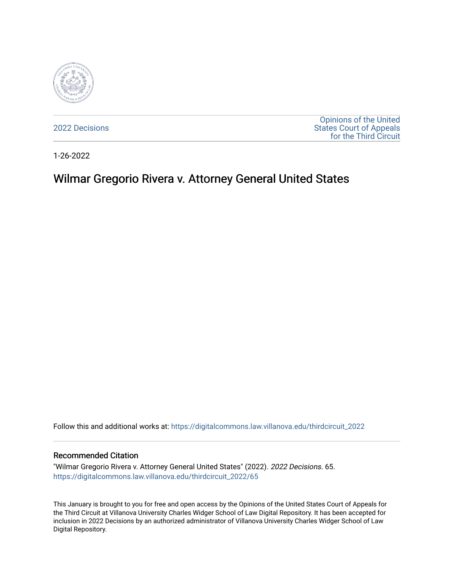

[2022 Decisions](https://digitalcommons.law.villanova.edu/thirdcircuit_2022)

[Opinions of the United](https://digitalcommons.law.villanova.edu/thirdcircuit)  [States Court of Appeals](https://digitalcommons.law.villanova.edu/thirdcircuit)  [for the Third Circuit](https://digitalcommons.law.villanova.edu/thirdcircuit) 

1-26-2022

# Wilmar Gregorio Rivera v. Attorney General United States

Follow this and additional works at: [https://digitalcommons.law.villanova.edu/thirdcircuit\\_2022](https://digitalcommons.law.villanova.edu/thirdcircuit_2022?utm_source=digitalcommons.law.villanova.edu%2Fthirdcircuit_2022%2F65&utm_medium=PDF&utm_campaign=PDFCoverPages) 

#### Recommended Citation

"Wilmar Gregorio Rivera v. Attorney General United States" (2022). 2022 Decisions. 65. [https://digitalcommons.law.villanova.edu/thirdcircuit\\_2022/65](https://digitalcommons.law.villanova.edu/thirdcircuit_2022/65?utm_source=digitalcommons.law.villanova.edu%2Fthirdcircuit_2022%2F65&utm_medium=PDF&utm_campaign=PDFCoverPages)

This January is brought to you for free and open access by the Opinions of the United States Court of Appeals for the Third Circuit at Villanova University Charles Widger School of Law Digital Repository. It has been accepted for inclusion in 2022 Decisions by an authorized administrator of Villanova University Charles Widger School of Law Digital Repository.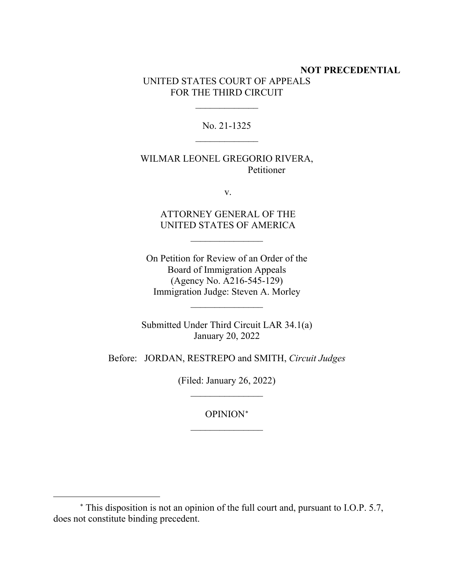### **NOT PRECEDENTIAL** UNITED STATES COURT OF APPEALS FOR THE THIRD CIRCUIT

No. 21-1325  $\overline{\phantom{a}}$ 

 $\frac{1}{2}$ 

### WILMAR LEONEL GREGORIO RIVERA, Petitioner

v.

## ATTORNEY GENERAL OF THE UNITED STATES OF AMERICA

 $\frac{1}{2}$ 

On Petition for Review of an Order of the Board of Immigration Appeals (Agency No. A216-545-129) Immigration Judge: Steven A. Morley

Submitted Under Third Circuit LAR 34.1(a) January 20, 2022

 $\frac{1}{2}$ 

Before: JORDAN, RESTREPO and SMITH, *Circuit Judges*

(Filed: January 26, 2022)  $\frac{1}{2}$ 

> OPINION[∗](#page-1-0)  $\overline{\phantom{a}}$  , where  $\overline{\phantom{a}}$

<span id="page-1-0"></span><sup>∗</sup> This disposition is not an opinion of the full court and, pursuant to I.O.P. 5.7, does not constitute binding precedent.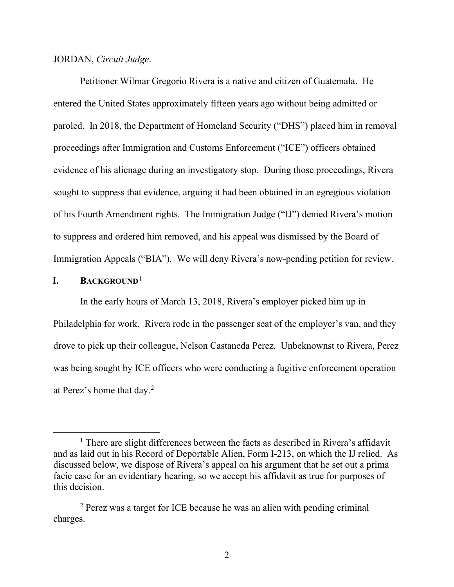#### JORDAN, *Circuit Judge*.

Petitioner Wilmar Gregorio Rivera is a native and citizen of Guatemala. He entered the United States approximately fifteen years ago without being admitted or paroled. In 2018, the Department of Homeland Security ("DHS") placed him in removal proceedings after Immigration and Customs Enforcement ("ICE") officers obtained evidence of his alienage during an investigatory stop. During those proceedings, Rivera sought to suppress that evidence, arguing it had been obtained in an egregious violation of his Fourth Amendment rights. The Immigration Judge ("IJ") denied Rivera's motion to suppress and ordered him removed, and his appeal was dismissed by the Board of Immigration Appeals ("BIA"). We will deny Rivera's now-pending petition for review.

#### **I. BACKGROUND**[1](#page-2-0)

In the early hours of March 13, 2018, Rivera's employer picked him up in Philadelphia for work. Rivera rode in the passenger seat of the employer's van, and they drove to pick up their colleague, Nelson Castaneda Perez. Unbeknownst to Rivera, Perez was being sought by ICE officers who were conducting a fugitive enforcement operation at Perez's home that day. [2](#page-2-1)

<span id="page-2-0"></span><sup>&</sup>lt;sup>1</sup> There are slight differences between the facts as described in Rivera's affidavit and as laid out in his Record of Deportable Alien, Form I-213, on which the IJ relied. As discussed below, we dispose of Rivera's appeal on his argument that he set out a prima facie case for an evidentiary hearing, so we accept his affidavit as true for purposes of this decision.

<span id="page-2-1"></span><sup>&</sup>lt;sup>2</sup> Perez was a target for ICE because he was an alien with pending criminal charges.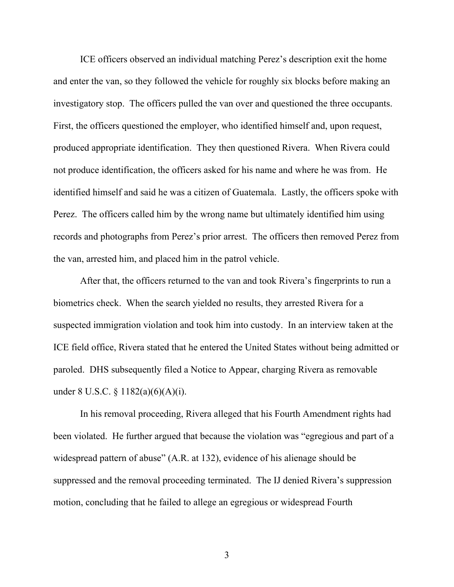ICE officers observed an individual matching Perez's description exit the home and enter the van, so they followed the vehicle for roughly six blocks before making an investigatory stop. The officers pulled the van over and questioned the three occupants. First, the officers questioned the employer, who identified himself and, upon request, produced appropriate identification. They then questioned Rivera. When Rivera could not produce identification, the officers asked for his name and where he was from. He identified himself and said he was a citizen of Guatemala. Lastly, the officers spoke with Perez. The officers called him by the wrong name but ultimately identified him using records and photographs from Perez's prior arrest. The officers then removed Perez from the van, arrested him, and placed him in the patrol vehicle.

After that, the officers returned to the van and took Rivera's fingerprints to run a biometrics check. When the search yielded no results, they arrested Rivera for a suspected immigration violation and took him into custody. In an interview taken at the ICE field office, Rivera stated that he entered the United States without being admitted or paroled. DHS subsequently filed a Notice to Appear, charging Rivera as removable under 8 U.S.C. § 1182(a)(6)(A)(i).

In his removal proceeding, Rivera alleged that his Fourth Amendment rights had been violated. He further argued that because the violation was "egregious and part of a widespread pattern of abuse" (A.R. at 132), evidence of his alienage should be suppressed and the removal proceeding terminated. The IJ denied Rivera's suppression motion, concluding that he failed to allege an egregious or widespread Fourth

3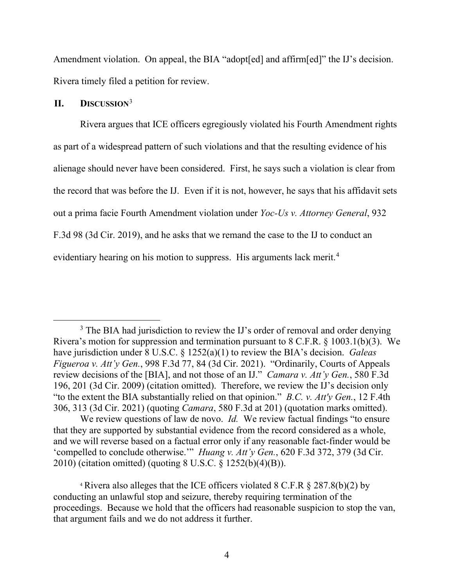Amendment violation. On appeal, the BIA "adopt[ed] and affirm[ed]" the IJ's decision. Rivera timely filed a petition for review.

# **II. DISCUSSION**[3](#page-4-0)

Rivera argues that ICE officers egregiously violated his Fourth Amendment rights as part of a widespread pattern of such violations and that the resulting evidence of his alienage should never have been considered. First, he says such a violation is clear from the record that was before the IJ. Even if it is not, however, he says that his affidavit sets out a prima facie Fourth Amendment violation under *Yoc-Us v. Attorney General*, 932 F.3d 98 (3d Cir. 2019), and he asks that we remand the case to the IJ to conduct an evidentiary hearing on his motion to suppress. His arguments lack merit.<sup>[4](#page-4-1)</sup>

We review questions of law de novo. *Id.* We review factual findings "to ensure that they are supported by substantial evidence from the record considered as a whole, and we will reverse based on a factual error only if any reasonable fact-finder would be 'compelled to conclude otherwise.'" *Huang v. Att'y Gen.*, 620 F.3d 372, 379 (3d Cir. 2010) (citation omitted) (quoting 8 U.S.C. § 1252(b)(4)(B)).

<span id="page-4-1"></span><sup>4</sup> Rivera also alleges that the ICE officers violated 8 C.F.R § 287.8(b)(2) by conducting an unlawful stop and seizure, thereby requiring termination of the proceedings. Because we hold that the officers had reasonable suspicion to stop the van, that argument fails and we do not address it further.

<span id="page-4-0"></span><sup>&</sup>lt;sup>3</sup> The BIA had jurisdiction to review the IJ's order of removal and order denying Rivera's motion for suppression and termination pursuant to 8 C.F.R. § 1003.1(b)(3). We have jurisdiction under 8 U.S.C. § 1252(a)(1) to review the BIA's decision. *Galeas Figueroa v. Att'y Gen.*, 998 F.3d 77, 84 (3d Cir. 2021). "Ordinarily, Courts of Appeals review decisions of the [BIA], and not those of an IJ." *Camara v. Att'y Gen.*, 580 F.3d 196, 201 (3d Cir. 2009) (citation omitted). Therefore, we review the IJ's decision only "to the extent the BIA substantially relied on that opinion." *B.C. v. Att'y Gen.*, 12 F.4th 306, 313 (3d Cir. 2021) (quoting *Camara*, 580 F.3d at 201) (quotation marks omitted).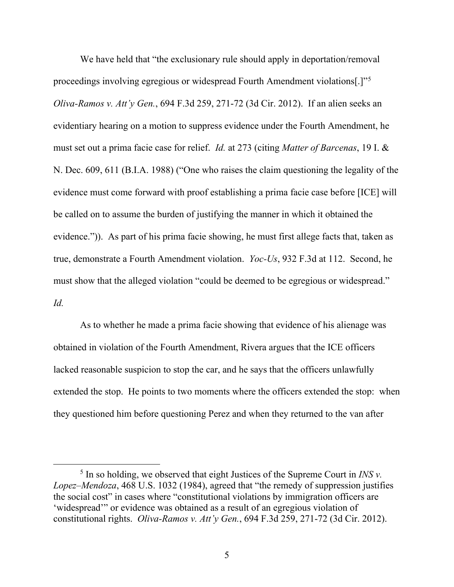We have held that "the exclusionary rule should apply in deportation/removal proceedings involving egregious or widespread Fourth Amendment violations[.]"<sup>[5](#page-5-0)</sup> *Oliva-Ramos v. Att'y Gen.*, 694 F.3d 259, 271-72 (3d Cir. 2012). If an alien seeks an evidentiary hearing on a motion to suppress evidence under the Fourth Amendment, he must set out a prima facie case for relief. *Id.* at 273 (citing *Matter of Barcenas*, 19 I. & N. Dec. 609, 611 (B.I.A. 1988) ("One who raises the claim questioning the legality of the evidence must come forward with proof establishing a prima facie case before [ICE] will be called on to assume the burden of justifying the manner in which it obtained the evidence.")). As part of his prima facie showing, he must first allege facts that, taken as true, demonstrate a Fourth Amendment violation. *Yoc-Us*, 932 F.3d at 112. Second, he must show that the alleged violation "could be deemed to be egregious or widespread." *Id.* 

As to whether he made a prima facie showing that evidence of his alienage was obtained in violation of the Fourth Amendment, Rivera argues that the ICE officers lacked reasonable suspicion to stop the car, and he says that the officers unlawfully extended the stop. He points to two moments where the officers extended the stop: when they questioned him before questioning Perez and when they returned to the van after

<span id="page-5-0"></span> $<sup>5</sup>$  In so holding, we observed that eight Justices of the Supreme Court in *INS v.*</sup> *Lopez–Mendoza*, 468 U.S. 1032 (1984), agreed that "the remedy of suppression justifies the social cost" in cases where "constitutional violations by immigration officers are 'widespread'" or evidence was obtained as a result of an egregious violation of constitutional rights. *Oliva-Ramos v. Att'y Gen.*, 694 F.3d 259, 271-72 (3d Cir. 2012).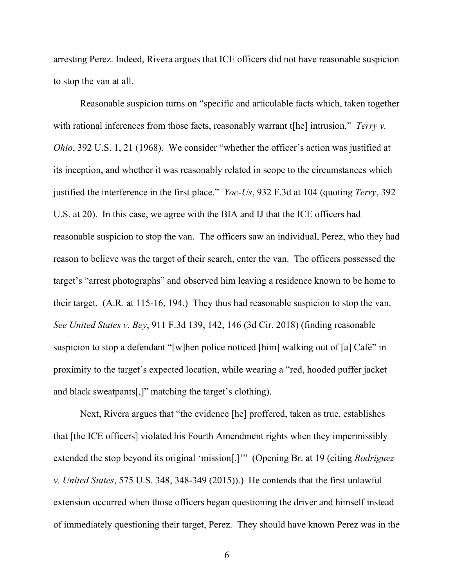arresting Perez. Indeed, Rivera argues that ICE officers did not have reasonable suspicion to stop the van at all.

Reasonable suspicion turns on "specific and articulable facts which, taken together with rational inferences from those facts, reasonably warrant t[he] intrusion." *Terry v. Ohio*, 392 U.S. 1, 21 (1968). We consider "whether the officer's action was justified at its inception, and whether it was reasonably related in scope to the circumstances which justified the interference in the first place." *Yoc-Us*, 932 F.3d at 104 (quoting *Terry*, 392 U.S. at 20). In this case, we agree with the BIA and IJ that the ICE officers had reasonable suspicion to stop the van. The officers saw an individual, Perez, who they had reason to believe was the target of their search, enter the van. The officers possessed the target's "arrest photographs" and observed him leaving a residence known to be home to their target. (A.R. at 115-16, 194.) They thus had reasonable suspicion to stop the van. *See United States v. Bey*, 911 F.3d 139, 142, 146 (3d Cir. 2018) (finding reasonable suspicion to stop a defendant "[w]hen police noticed [him] walking out of [a] Café" in proximity to the target's expected location, while wearing a "red, hooded puffer jacket and black sweatpants[,]" matching the target's clothing).

Next, Rivera argues that "the evidence [he] proffered, taken as true, establishes that [the ICE officers] violated his Fourth Amendment rights when they impermissibly extended the stop beyond its original 'mission[.]'" (Opening Br. at 19 (citing *Rodriguez v. United States*, 575 U.S. 348, 348-349 (2015)).) He contends that the first unlawful extension occurred when those officers began questioning the driver and himself instead of immediately questioning their target, Perez. They should have known Perez was in the

6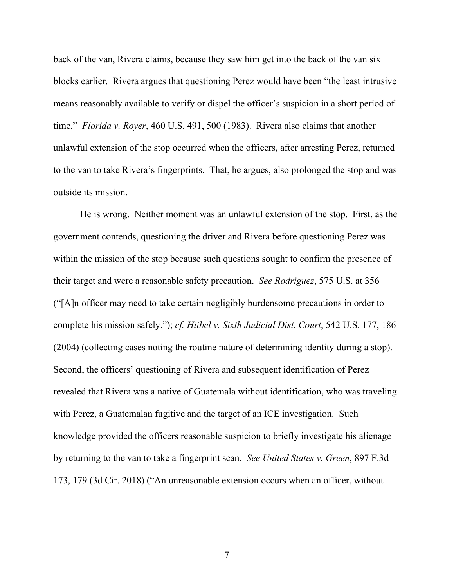back of the van, Rivera claims, because they saw him get into the back of the van six blocks earlier. Rivera argues that questioning Perez would have been "the least intrusive means reasonably available to verify or dispel the officer's suspicion in a short period of time." *Florida v. Royer*, 460 U.S. 491, 500 (1983). Rivera also claims that another unlawful extension of the stop occurred when the officers, after arresting Perez, returned to the van to take Rivera's fingerprints. That, he argues, also prolonged the stop and was outside its mission.

He is wrong. Neither moment was an unlawful extension of the stop. First, as the government contends, questioning the driver and Rivera before questioning Perez was within the mission of the stop because such questions sought to confirm the presence of their target and were a reasonable safety precaution. *See Rodriguez*, 575 U.S. at 356 ("[A]n officer may need to take certain negligibly burdensome precautions in order to complete his mission safely."); *cf. Hiibel v. Sixth Judicial Dist. Court*, 542 U.S. 177, 186 (2004) (collecting cases noting the routine nature of determining identity during a stop). Second, the officers' questioning of Rivera and subsequent identification of Perez revealed that Rivera was a native of Guatemala without identification, who was traveling with Perez, a Guatemalan fugitive and the target of an ICE investigation. Such knowledge provided the officers reasonable suspicion to briefly investigate his alienage by returning to the van to take a fingerprint scan. *See United States v. Green*, 897 F.3d 173, 179 (3d Cir. 2018) ("An unreasonable extension occurs when an officer, without

7